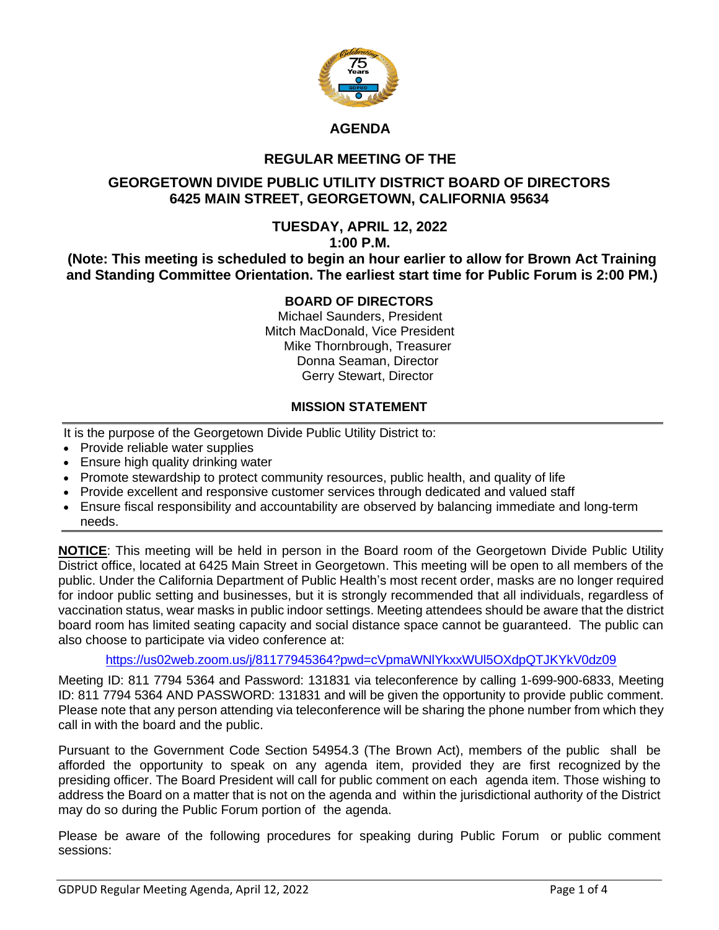

### **AGENDA**

# **REGULAR MEETING OF THE**

## **GEORGETOWN DIVIDE PUBLIC UTILITY DISTRICT BOARD OF DIRECTORS 6425 MAIN STREET, GEORGETOWN, CALIFORNIA 95634**

#### **TUESDAY, APRIL 12, 2022 1:00 P.M.**

**(Note: This meeting is scheduled to begin an hour earlier to allow for Brown Act Training and Standing Committee Orientation. The earliest start time for Public Forum is 2:00 PM.)**

### **BOARD OF DIRECTORS**

Michael Saunders, President Mitch MacDonald, Vice President Mike Thornbrough, Treasurer Donna Seaman, Director Gerry Stewart, Director

### **MISSION STATEMENT**

It is the purpose of the Georgetown Divide Public Utility District to:

- Provide reliable water supplies
- Ensure high quality drinking water
- Promote stewardship to protect community resources, public health, and quality of life
- Provide excellent and responsive customer services through dedicated and valued staff
- Ensure fiscal responsibility and accountability are observed by balancing immediate and long-term needs.

**NOTICE**: This meeting will be held in person in the Board room of the Georgetown Divide Public Utility District office, located at 6425 Main Street in Georgetown. This meeting will be open to all members of the public. Under the California Department of Public Health's most recent order, masks are no longer required for indoor public setting and businesses, but it is strongly recommended that all individuals, regardless of vaccination status, wear masks in public indoor settings. Meeting attendees should be aware that the district board room has limited seating capacity and social distance space cannot be guaranteed. The public can also choose to participate via video conference at:

<https://us02web.zoom.us/j/81177945364?pwd=cVpmaWNlYkxxWUl5OXdpQTJKYkV0dz09>

Meeting ID: 811 7794 5364 and Password: 131831 via teleconference by calling 1-699-900-6833, Meeting ID: 811 7794 5364 AND PASSWORD: 131831 and will be given the opportunity to provide public comment. Please note that any person attending via teleconference will be sharing the phone number from which they call in with the board and the public.

Pursuant to the Government Code Section 54954.3 (The Brown Act), members of the public shall be afforded the opportunity to speak on any agenda item, provided they are first recognized by the presiding officer. The Board President will call for public comment on each agenda item. Those wishing to address the Board on a matter that is not on the agenda and within the jurisdictional authority of the District may do so during the Public Forum portion of the agenda.

Please be aware of the following procedures for speaking during Public Forum or public comment sessions: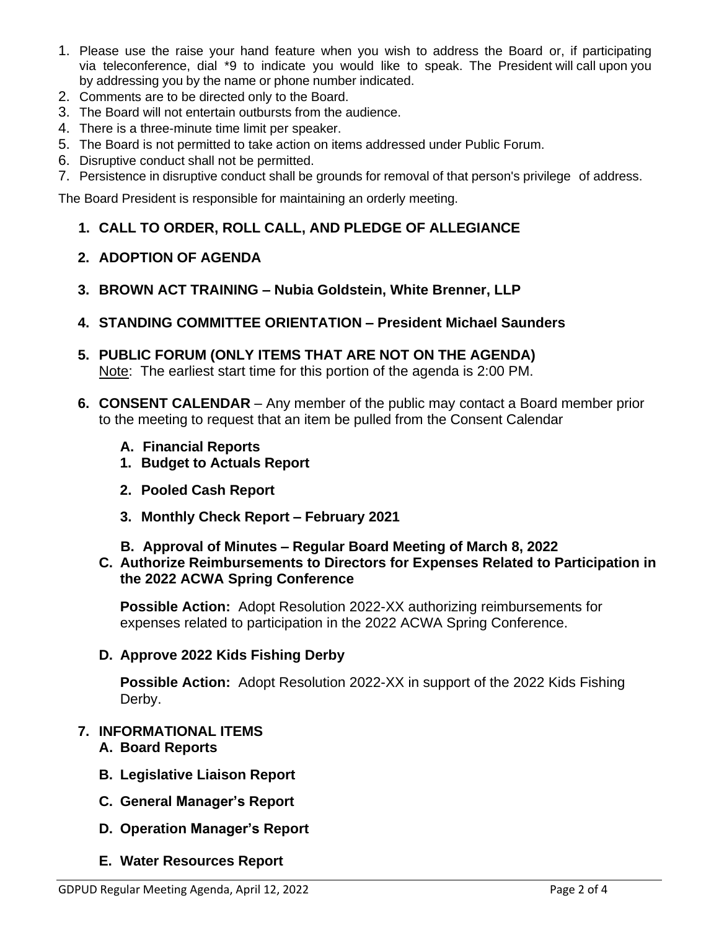- 1. Please use the raise your hand feature when you wish to address the Board or, if participating via teleconference, dial \*9 to indicate you would like to speak. The President will call upon you by addressing you by the name or phone number indicated.
- 2. Comments are to be directed only to the Board.
- 3. The Board will not entertain outbursts from the audience.
- 4. There is a three-minute time limit per speaker.
- 5. The Board is not permitted to take action on items addressed under Public Forum.
- 6. Disruptive conduct shall not be permitted.
- 7. Persistence in disruptive conduct shall be grounds for removal of that person's privilege of address.

The Board President is responsible for maintaining an orderly meeting.

**1. CALL TO ORDER, ROLL CALL, AND PLEDGE OF ALLEGIANCE**

### **2. ADOPTION OF AGENDA**

- **3. BROWN ACT TRAINING – Nubia Goldstein, White Brenner, LLP**
- **4. STANDING COMMITTEE ORIENTATION – President Michael Saunders**
- **5. PUBLIC FORUM (ONLY ITEMS THAT ARE NOT ON THE AGENDA)** Note: The earliest start time for this portion of the agenda is 2:00 PM.
- **6. CONSENT CALENDAR** Any member of the public may contact a Board member prior to the meeting to request that an item be pulled from the Consent Calendar
	- **A. Financial Reports**
	- **1. Budget to Actuals Report**
	- **2. Pooled Cash Report**
	- **3. Monthly Check Report – February 2021**
	- **B. Approval of Minutes – Regular Board Meeting of March 8, 2022**
	- **C. Authorize Reimbursements to Directors for Expenses Related to Participation in the 2022 ACWA Spring Conference**

**Possible Action:** Adopt Resolution 2022-XX authorizing reimbursements for expenses related to participation in the 2022 ACWA Spring Conference.

#### **D. Approve 2022 Kids Fishing Derby**

**Possible Action:** Adopt Resolution 2022-XX in support of the 2022 Kids Fishing Derby.

## **7. INFORMATIONAL ITEMS**

- **A. Board Reports**
- **B. Legislative Liaison Report**
- **C. General Manager's Report**
- **D. Operation Manager's Report**
- **E. Water Resources Report**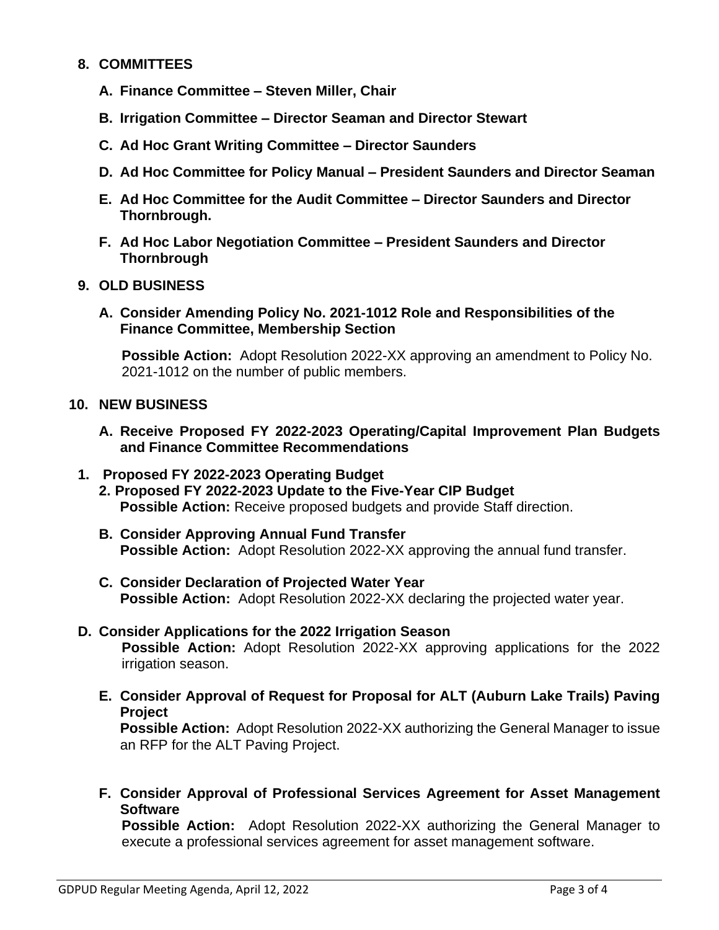### **8. COMMITTEES**

- **A. Finance Committee – Steven Miller, Chair**
- **B. Irrigation Committee – Director Seaman and Director Stewart**
- **C. Ad Hoc Grant Writing Committee – Director Saunders**
- **D. Ad Hoc Committee for Policy Manual – President Saunders and Director Seaman**
- **E. Ad Hoc Committee for the Audit Committee – Director Saunders and Director Thornbrough.**
- **F. Ad Hoc Labor Negotiation Committee – President Saunders and Director Thornbrough**

### **9. OLD BUSINESS**

**A. Consider Amending Policy No. 2021-1012 Role and Responsibilities of the Finance Committee, Membership Section**

**Possible Action:** Adopt Resolution 2022-XX approving an amendment to Policy No. 2021-1012 on the number of public members.

#### **10. NEW BUSINESS**

**A. Receive Proposed FY 2022-2023 Operating/Capital Improvement Plan Budgets and Finance Committee Recommendations**

### **1. Proposed FY 2022-2023 Operating Budget**

- **2. Proposed FY 2022-2023 Update to the Five-Year CIP Budget Possible Action:** Receive proposed budgets and provide Staff direction.
- **B. Consider Approving Annual Fund Transfer Possible Action:** Adopt Resolution 2022-XX approving the annual fund transfer.
- **C. Consider Declaration of Projected Water Year Possible Action:** Adopt Resolution 2022-XX declaring the projected water year.

### **D. Consider Applications for the 2022 Irrigation Season Possible Action:** Adopt Resolution 2022-XX approving applications for the 2022 irrigation season.

**E. Consider Approval of Request for Proposal for ALT (Auburn Lake Trails) Paving Project** 

**Possible Action:** Adopt Resolution 2022-XX authorizing the General Manager to issue an RFP for the ALT Paving Project.

**F. Consider Approval of Professional Services Agreement for Asset Management Software**

**Possible Action:** Adopt Resolution 2022-XX authorizing the General Manager to execute a professional services agreement for asset management software.